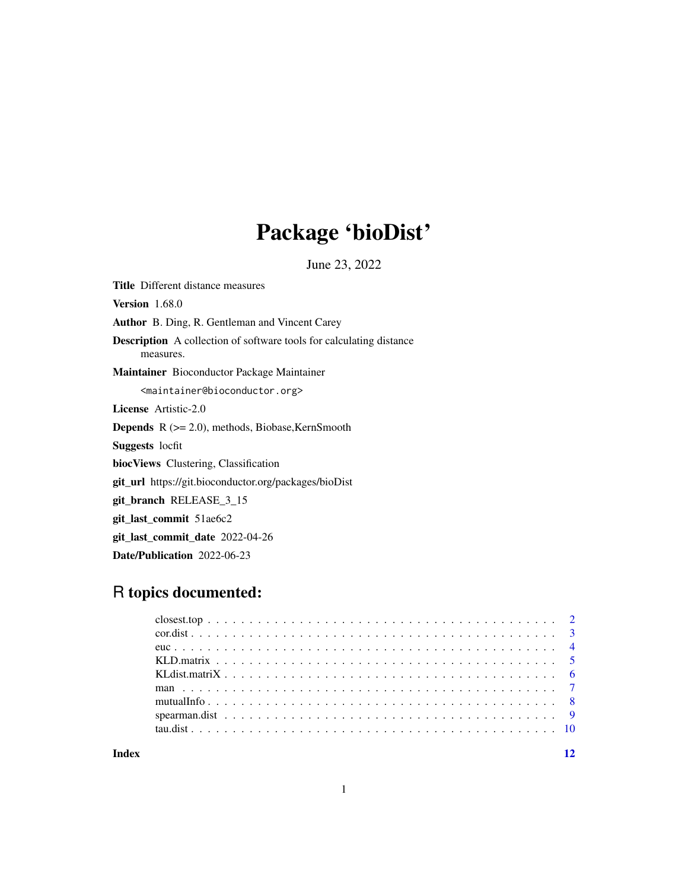## Package 'bioDist'

June 23, 2022

<span id="page-0-0"></span>Title Different distance measures Version 1.68.0 Author B. Ding, R. Gentleman and Vincent Carey Description A collection of software tools for calculating distance measures. Maintainer Bioconductor Package Maintainer <maintainer@bioconductor.org> License Artistic-2.0 Depends R (>= 2.0), methods, Biobase,KernSmooth Suggests locfit biocViews Clustering, Classification git\_url https://git.bioconductor.org/packages/bioDist git\_branch RELEASE\_3\_15 git\_last\_commit 51ae6c2 git\_last\_commit\_date 2022-04-26 Date/Publication 2022-06-23

## R topics documented:

| $\frac{2}{2}$ |  |  |  |  |  |  |  |  |  |  |  |  |  |  |  |  |  |  |  |  |  |
|---------------|--|--|--|--|--|--|--|--|--|--|--|--|--|--|--|--|--|--|--|--|--|
|               |  |  |  |  |  |  |  |  |  |  |  |  |  |  |  |  |  |  |  |  |  |
|               |  |  |  |  |  |  |  |  |  |  |  |  |  |  |  |  |  |  |  |  |  |
|               |  |  |  |  |  |  |  |  |  |  |  |  |  |  |  |  |  |  |  |  |  |
|               |  |  |  |  |  |  |  |  |  |  |  |  |  |  |  |  |  |  |  |  |  |
|               |  |  |  |  |  |  |  |  |  |  |  |  |  |  |  |  |  |  |  |  |  |
|               |  |  |  |  |  |  |  |  |  |  |  |  |  |  |  |  |  |  |  |  |  |
|               |  |  |  |  |  |  |  |  |  |  |  |  |  |  |  |  |  |  |  |  |  |
|               |  |  |  |  |  |  |  |  |  |  |  |  |  |  |  |  |  |  |  |  |  |
|               |  |  |  |  |  |  |  |  |  |  |  |  |  |  |  |  |  |  |  |  |  |

**Index** [12](#page-11-0)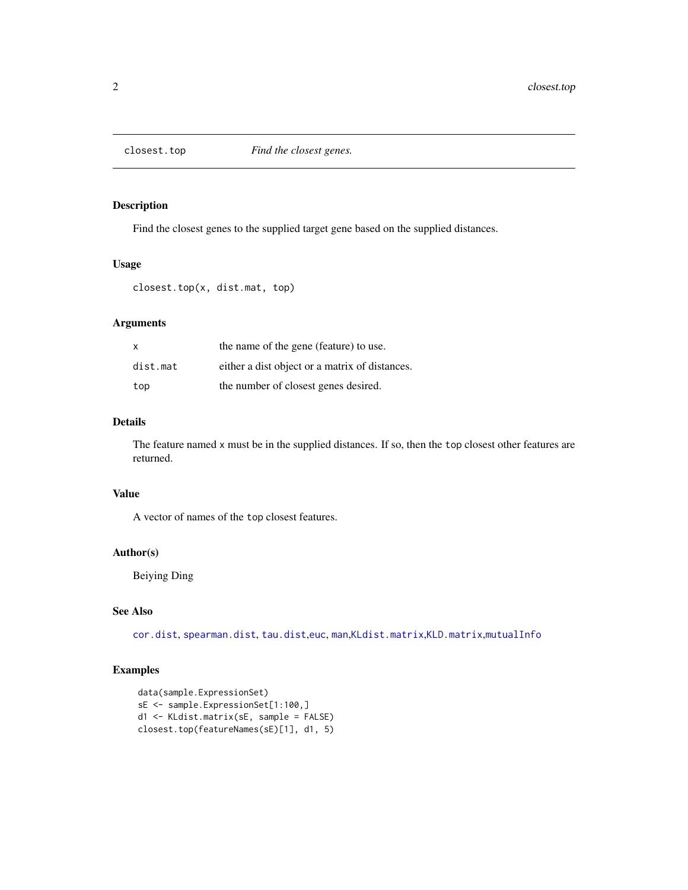<span id="page-1-0"></span>

Find the closest genes to the supplied target gene based on the supplied distances.

#### Usage

```
closest.top(x, dist.mat, top)
```
#### Arguments

| $\mathsf{x}$ | the name of the gene (feature) to use.         |
|--------------|------------------------------------------------|
| dist.mat     | either a dist object or a matrix of distances. |
| top          | the number of closest genes desired.           |

#### Details

The feature named x must be in the supplied distances. If so, then the top closest other features are returned.

#### Value

A vector of names of the top closest features.

#### Author(s)

Beiying Ding

#### See Also

[cor.dist](#page-2-1), [spearman.dist](#page-8-1), [tau.dist](#page-9-1),[euc](#page-3-1), [man](#page-6-1),[KLdist.matrix](#page-5-1),[KLD.matrix](#page-4-1),[mutualInfo](#page-7-1)

#### Examples

```
data(sample.ExpressionSet)
sE <- sample.ExpressionSet[1:100,]
d1 <- KLdist.matrix(sE, sample = FALSE)
closest.top(featureNames(sE)[1], d1, 5)
```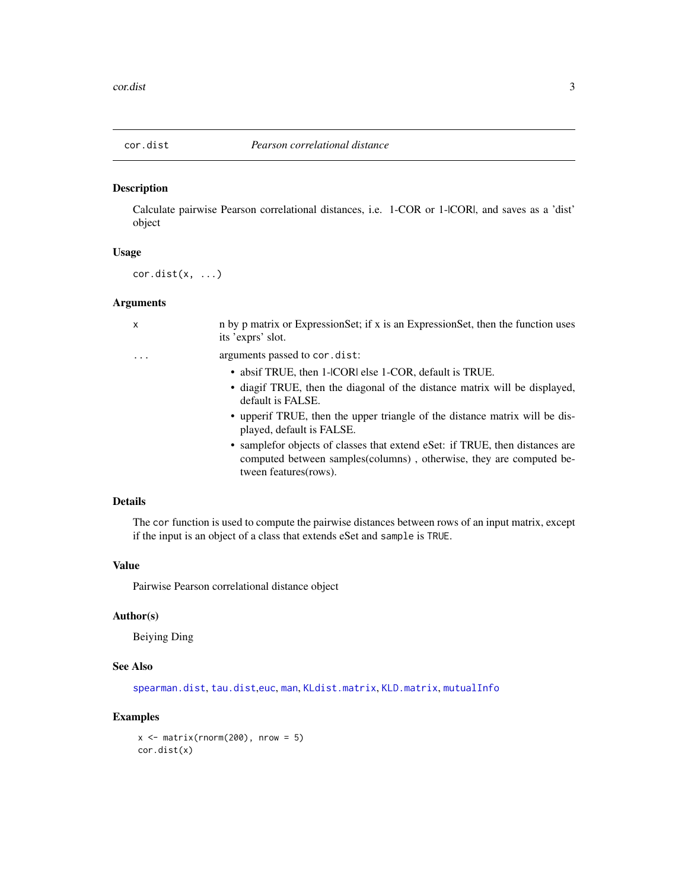<span id="page-2-1"></span><span id="page-2-0"></span>

Calculate pairwise Pearson correlational distances, i.e. 1-COR or 1-|COR|, and saves as a 'dist' object

#### Usage

 $cor.dist(x, \ldots)$ 

#### Arguments

| x | n by p matrix or ExpressionSet; if x is an ExpressionSet, then the function uses<br>its 'exprs' slot.                                                                           |
|---|---------------------------------------------------------------------------------------------------------------------------------------------------------------------------------|
| . | arguments passed to cor.dist:                                                                                                                                                   |
|   | • absif TRUE, then 1-ICORI else 1-COR, default is TRUE.                                                                                                                         |
|   | • diagif TRUE, then the diagonal of the distance matrix will be displayed,<br>default is FALSE.                                                                                 |
|   | • upper if TRUE, then the upper triangle of the distance matrix will be dis-<br>played, default is FALSE.                                                                       |
|   | • sample for objects of classes that extend eset: if TRUE, then distances are<br>computed between samples (columns), otherwise, they are computed be-<br>tween features (rows). |

#### Details

The cor function is used to compute the pairwise distances between rows of an input matrix, except if the input is an object of a class that extends eSet and sample is TRUE.

#### Value

Pairwise Pearson correlational distance object

#### Author(s)

Beiying Ding

#### See Also

[spearman.dist](#page-8-1), [tau.dist](#page-9-1),[euc](#page-3-1), [man](#page-6-1), [KLdist.matrix](#page-5-1), [KLD.matrix](#page-4-1), [mutualInfo](#page-7-1)

## Examples

 $x \le$  matrix(rnorm(200), nrow = 5) cor.dist(x)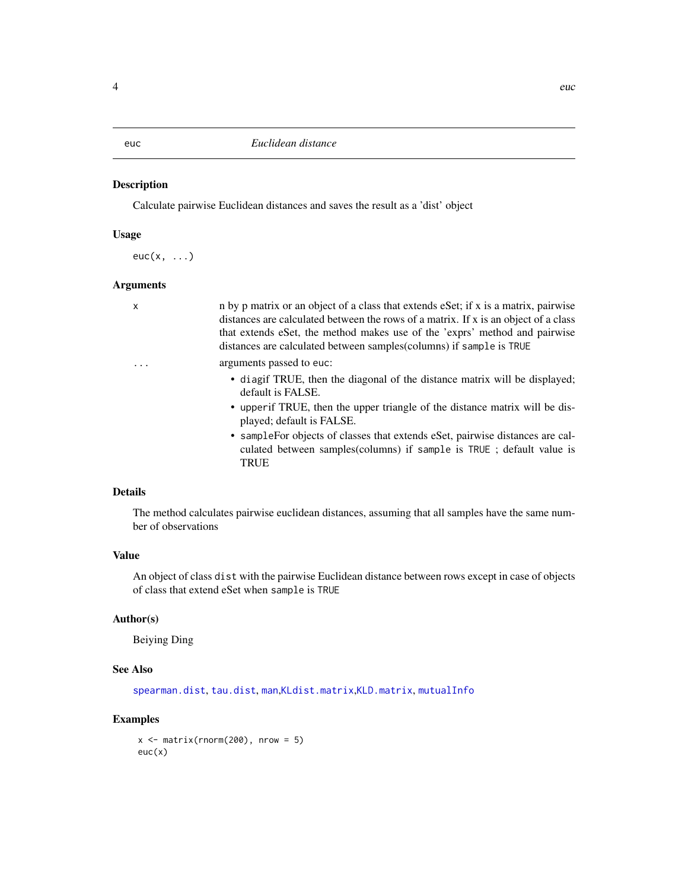<span id="page-3-1"></span><span id="page-3-0"></span>

Calculate pairwise Euclidean distances and saves the result as a 'dist' object

#### Usage

 $euc(x, \ldots)$ 

#### Arguments

| $\mathsf{x}$ | n by p matrix or an object of a class that extends eSet; if x is a matrix, pairwise<br>distances are calculated between the rows of a matrix. If x is an object of a class<br>that extends eSet, the method makes use of the 'exprs' method and pairwise<br>distances are calculated between samples (columns) if sample is TRUE                                                                          |
|--------------|-----------------------------------------------------------------------------------------------------------------------------------------------------------------------------------------------------------------------------------------------------------------------------------------------------------------------------------------------------------------------------------------------------------|
| .            | arguments passed to euc:<br>• diagif TRUE, then the diagonal of the distance matrix will be displayed;<br>default is FALSE.<br>• upperif TRUE, then the upper triangle of the distance matrix will be dis-<br>played; default is FALSE.<br>• sample For objects of classes that extends eset, pairwise distances are cal-<br>culated between samples(columns) if sample is TRUE; default value is<br>TRUE |
|              |                                                                                                                                                                                                                                                                                                                                                                                                           |

#### Details

The method calculates pairwise euclidean distances, assuming that all samples have the same number of observations

#### Value

An object of class dist with the pairwise Euclidean distance between rows except in case of objects of class that extend eSet when sample is TRUE

## Author(s)

Beiying Ding

## See Also

[spearman.dist](#page-8-1), [tau.dist](#page-9-1), [man](#page-6-1),[KLdist.matrix](#page-5-1),[KLD.matrix](#page-4-1), [mutualInfo](#page-7-1)

#### Examples

```
x \le matrix(rnorm(200), nrow = 5)
euc(x)
```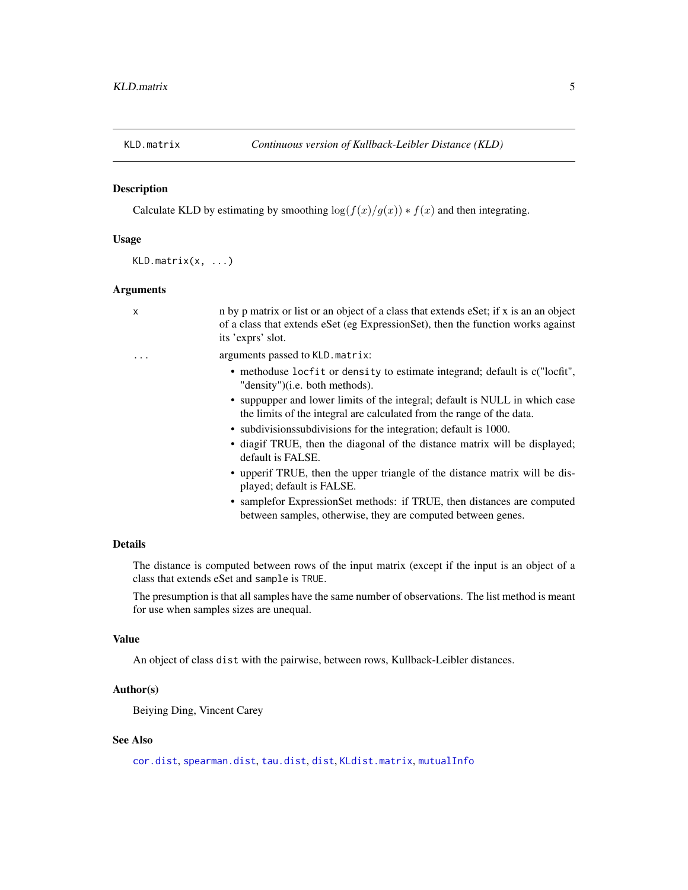<span id="page-4-1"></span><span id="page-4-0"></span>

Calculate KLD by estimating by smoothing  $\log(f(x)/g(x)) * f(x)$  and then integrating.

#### Usage

 $KLD.matrix(x, ...)$ 

#### Arguments

| X | n by p matrix or list or an object of a class that extends eSet; if x is an an object<br>of a class that extends eSet (eg ExpressionSet), then the function works against<br>its 'exprs' slot. |
|---|------------------------------------------------------------------------------------------------------------------------------------------------------------------------------------------------|
| . | arguments passed to KLD. matrix:                                                                                                                                                               |
|   | • methoduse locfit or density to estimate integrand; default is c("locfit",<br>"density")(i.e. both methods).                                                                                  |
|   | • suppupper and lower limits of the integral; default is NULL in which case<br>the limits of the integral are calculated from the range of the data.                                           |
|   | • subdivisions subdivisions for the integration; default is 1000.                                                                                                                              |
|   | • diagif TRUE, then the diagonal of the distance matrix will be displayed;<br>default is FALSE.                                                                                                |
|   | • upper if TRUE, then the upper triangle of the distance matrix will be dis-<br>played; default is FALSE.                                                                                      |
|   | • sample for Expression Set methods: if TRUE, then distances are computed<br>between samples, otherwise, they are computed between genes.                                                      |

## Details

The distance is computed between rows of the input matrix (except if the input is an object of a class that extends eSet and sample is TRUE.

The presumption is that all samples have the same number of observations. The list method is meant for use when samples sizes are unequal.

#### Value

An object of class dist with the pairwise, between rows, Kullback-Leibler distances.

#### Author(s)

Beiying Ding, Vincent Carey

### See Also

[cor.dist](#page-2-1), [spearman.dist](#page-8-1), [tau.dist](#page-9-1), [dist](#page-0-0), [KLdist.matrix](#page-5-1), [mutualInfo](#page-7-1)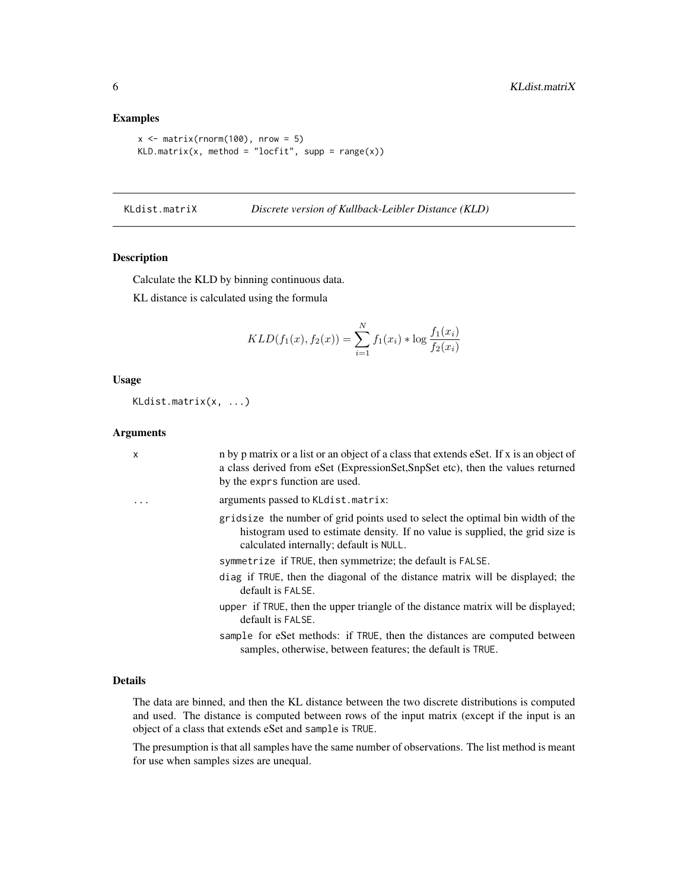#### Examples

```
x \le matrix(rnorm(100), nrow = 5)
KLD.maxrix(x, method = "locfit", supp = range(x))
```
KLdist.matriX *Discrete version of Kullback-Leibler Distance (KLD)*

#### <span id="page-5-1"></span>Description

Calculate the KLD by binning continuous data.

KL distance is calculated using the formula

$$
KLD(f_1(x), f_2(x)) = \sum_{i=1}^{N} f_1(x_i) * \log \frac{f_1(x_i)}{f_2(x_i)}
$$

#### Usage

KLdist.matrix(x, ...)

#### Arguments

| $\mathsf{x}$ | n by p matrix or a list or an object of a class that extends eSet. If x is an object of<br>a class derived from eSet (ExpressionSet,SnpSet etc), then the values returned<br>by the exprs function are used. |
|--------------|--------------------------------------------------------------------------------------------------------------------------------------------------------------------------------------------------------------|
|              | arguments passed to KLdist.matrix:                                                                                                                                                                           |
|              | gridsize the number of grid points used to select the optimal bin width of the<br>histogram used to estimate density. If no value is supplied, the grid size is<br>calculated internally; default is NULL.   |
|              | symmetrize if TRUE, then symmetrize; the default is FALSE.                                                                                                                                                   |
|              | diag if TRUE, then the diagonal of the distance matrix will be displayed; the<br>default is FALSE.                                                                                                           |
|              | upper if TRUE, then the upper triangle of the distance matrix will be displayed;<br>default is FALSE.                                                                                                        |
|              | sample for eSet methods: if TRUE, then the distances are computed between<br>samples, otherwise, between features; the default is TRUE.                                                                      |
|              |                                                                                                                                                                                                              |

#### Details

The data are binned, and then the KL distance between the two discrete distributions is computed and used. The distance is computed between rows of the input matrix (except if the input is an object of a class that extends eSet and sample is TRUE.

The presumption is that all samples have the same number of observations. The list method is meant for use when samples sizes are unequal.

<span id="page-5-0"></span>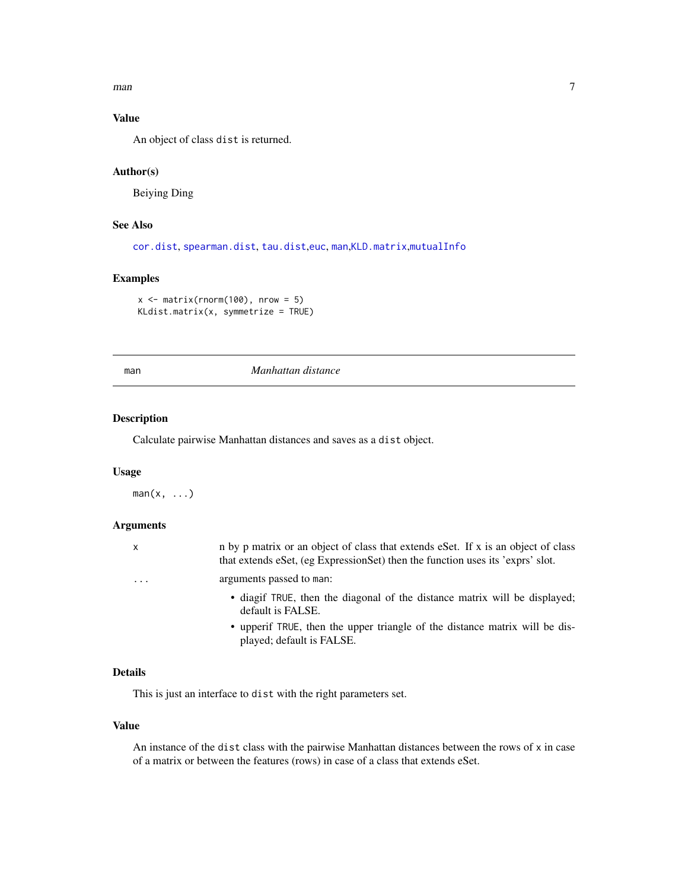<span id="page-6-0"></span> $m$ an  $7$ 

## Value

An object of class dist is returned.

#### Author(s)

Beiying Ding

## See Also

[cor.dist](#page-2-1), [spearman.dist](#page-8-1), [tau.dist](#page-9-1),[euc](#page-3-1), [man](#page-6-1),[KLD.matrix](#page-4-1),[mutualInfo](#page-7-1)

#### Examples

```
x \le matrix(rnorm(100), nrow = 5)
KLdist.matrix(x, symmetrize = TRUE)
```
#### man *Manhattan distance*

#### Description

Calculate pairwise Manhattan distances and saves as a dist object.

#### Usage

 $man(x, \ldots)$ 

#### Arguments

| x                       | n by p matrix or an object of class that extends eSet. If x is an object of class<br>that extends eSet, (eg ExpressionSet) then the function uses its 'exprs' slot. |
|-------------------------|---------------------------------------------------------------------------------------------------------------------------------------------------------------------|
| $\cdot$ $\cdot$ $\cdot$ | arguments passed to man:                                                                                                                                            |
|                         | • diagif TRUE, then the diagonal of the distance matrix will be displayed;<br>default is FALSE.                                                                     |
|                         | • upperif TRUE, then the upper triangle of the distance matrix will be dis-                                                                                         |

#### Details

This is just an interface to dist with the right parameters set.

played; default is FALSE.

#### Value

An instance of the dist class with the pairwise Manhattan distances between the rows of x in case of a matrix or between the features (rows) in case of a class that extends eSet.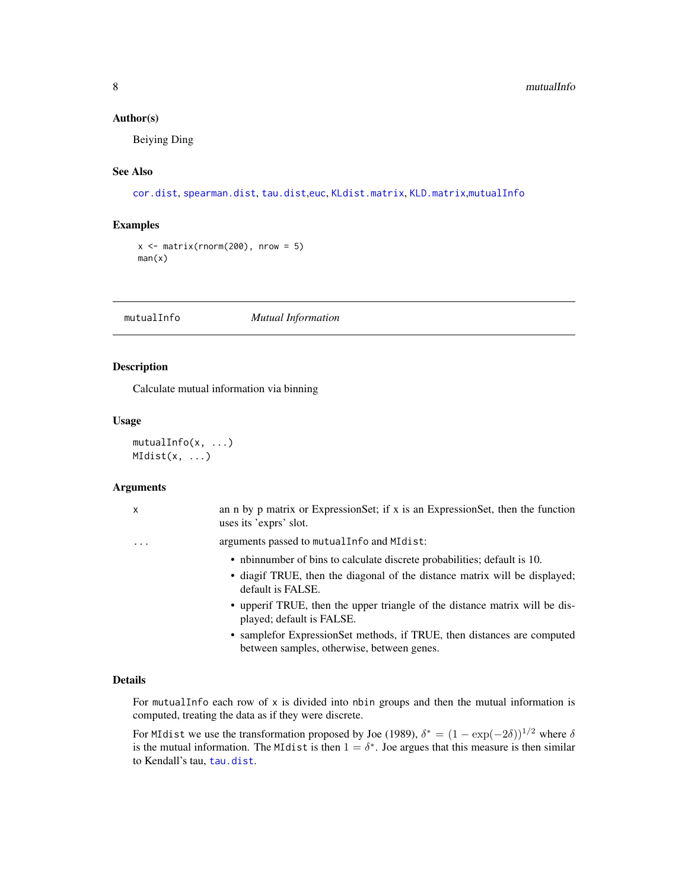#### <span id="page-7-0"></span>Author(s)

Beiying Ding

#### See Also

[cor.dist](#page-2-1), [spearman.dist](#page-8-1), [tau.dist](#page-9-1),[euc](#page-3-1), [KLdist.matrix](#page-5-1), [KLD.matrix](#page-4-1),[mutualInfo](#page-7-1)

## Examples

```
x \le matrix(rnorm(200), nrow = 5)
man(x)
```
<span id="page-7-1"></span>mutualInfo *Mutual Information*

#### Description

Calculate mutual information via binning

#### Usage

mutualInfo(x, ...)  $MIdist(x, \ldots)$ 

#### Arguments

| $\mathsf{x}$ | an n by p matrix or ExpressionSet; if x is an ExpressionSet, then the function<br>uses its 'exprs' slot.                                                                    |
|--------------|-----------------------------------------------------------------------------------------------------------------------------------------------------------------------------|
| $\cdots$     | arguments passed to mutual Info and MIdist:                                                                                                                                 |
|              | • nbinnumber of bins to calculate discrete probabilities; default is 10.<br>• diagif TRUE, then the diagonal of the distance matrix will be displayed;<br>default is FALSE. |
|              | • upperif TRUE, then the upper triangle of the distance matrix will be dis-<br>played; default is FALSE.                                                                    |
|              | • sample for Expression Set methods, if TRUE, then distances are computed<br>between samples, otherwise, between genes.                                                     |

#### Details

For mutual Info each row of  $x$  is divided into nbin groups and then the mutual information is computed, treating the data as if they were discrete.

For MIdist we use the transformation proposed by Joe (1989),  $\delta^* = (1 - \exp(-2\delta))^{1/2}$  where  $\delta$ is the mutual information. The MIdist is then  $1 = \delta^*$ . Joe argues that this measure is then similar to Kendall's tau, [tau.dist](#page-9-1).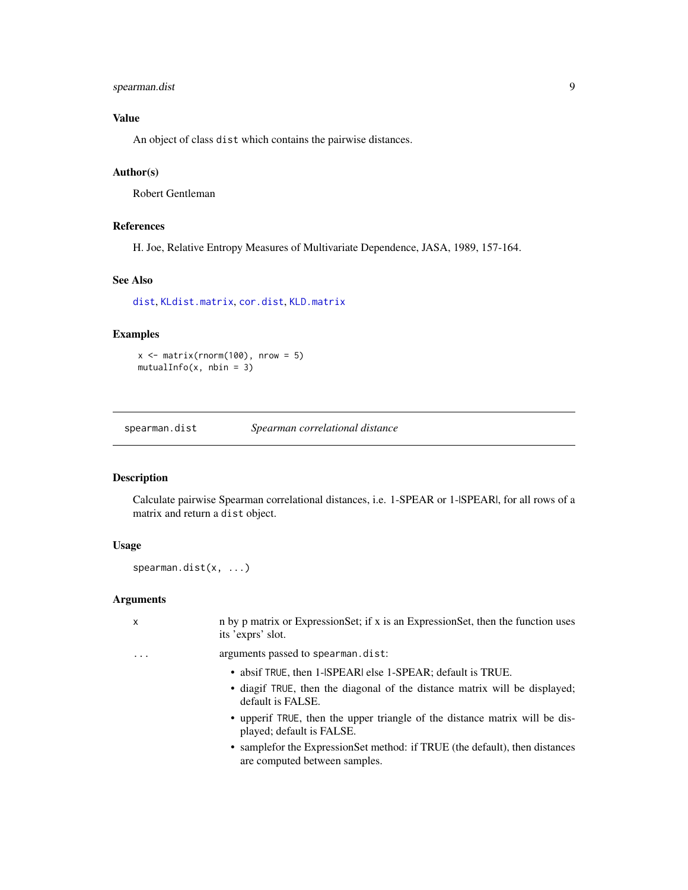#### <span id="page-8-0"></span>spearman.dist 9

## Value

An object of class dist which contains the pairwise distances.

#### Author(s)

Robert Gentleman

#### References

H. Joe, Relative Entropy Measures of Multivariate Dependence, JASA, 1989, 157-164.

#### See Also

[dist](#page-0-0), [KLdist.matrix](#page-5-1), [cor.dist](#page-2-1), [KLD.matrix](#page-4-1)

#### Examples

 $x \le$  matrix(rnorm(100), nrow = 5)  $mutualInfo(x, nbin = 3)$ 

<span id="page-8-1"></span>spearman.dist *Spearman correlational distance*

#### Description

Calculate pairwise Spearman correlational distances, i.e. 1-SPEAR or 1-|SPEAR|, for all rows of a matrix and return a dist object.

#### Usage

spearman.dist(x, ...)

#### Arguments

| $\mathsf{x}$ | n by p matrix or Expression Set; if x is an Expression Set, then the function uses<br>its 'exprs' slot.                                                       |
|--------------|---------------------------------------------------------------------------------------------------------------------------------------------------------------|
| .            | arguments passed to spearman.dist:                                                                                                                            |
|              | • absif TRUE, then 1-SPEARI else 1-SPEAR; default is TRUE.<br>• diagif TRUE, then the diagonal of the distance matrix will be displayed;<br>default is FALSE. |
|              | • upperif TRUE, then the upper triangle of the distance matrix will be dis-<br>played; default is FALSE.                                                      |
|              | • sample for the Expression Set method: if TRUE (the default), then distances<br>are computed between samples.                                                |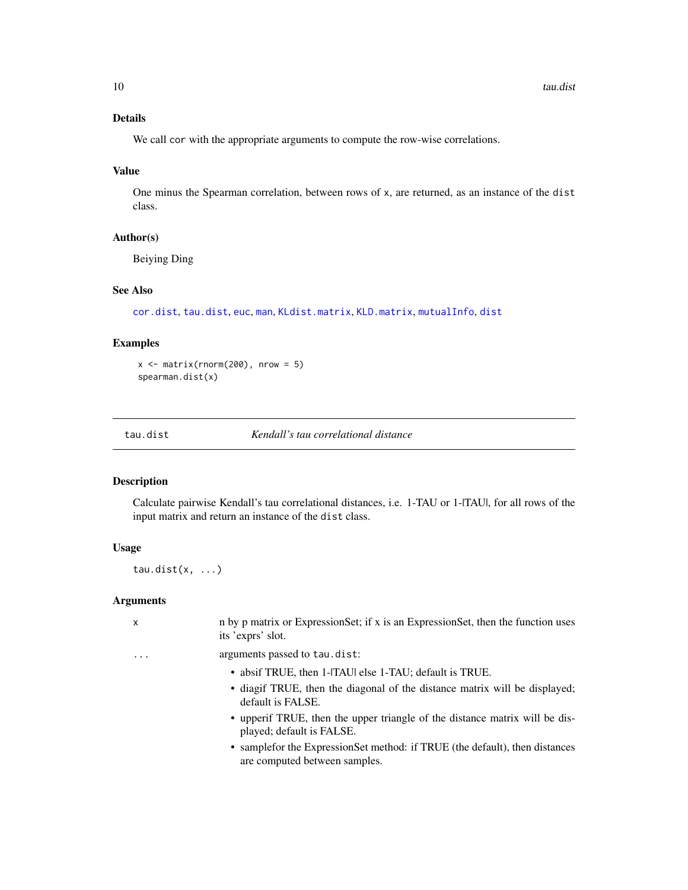## <span id="page-9-0"></span>Details

We call cor with the appropriate arguments to compute the row-wise correlations.

#### Value

One minus the Spearman correlation, between rows of x, are returned, as an instance of the dist class.

#### Author(s)

Beiying Ding

#### See Also

[cor.dist](#page-2-1), [tau.dist](#page-9-1), [euc](#page-3-1), [man](#page-6-1), [KLdist.matrix](#page-5-1), [KLD.matrix](#page-4-1), [mutualInfo](#page-7-1), [dist](#page-0-0)

#### Examples

 $x \le$  matrix(rnorm(200), nrow = 5) spearman.dist(x)

<span id="page-9-1"></span>tau.dist *Kendall's tau correlational distance*

#### Description

Calculate pairwise Kendall's tau correlational distances, i.e. 1-TAU or 1-|TAU|, for all rows of the input matrix and return an instance of the dist class.

## Usage

tau.dist $(x, \ldots)$ 

#### Arguments

| X | n by p matrix or Expression Set; if x is an Expression Set, then the function uses<br>its 'exprs' slot.        |
|---|----------------------------------------------------------------------------------------------------------------|
| . | arguments passed to tau.dist:                                                                                  |
|   | • absif TRUE, then 1-ITAU else 1-TAU; default is TRUE.                                                         |
|   | • diagif TRUE, then the diagonal of the distance matrix will be displayed;<br>default is FALSE.                |
|   | • upper if TRUE, then the upper triangle of the distance matrix will be dis-<br>played; default is FALSE.      |
|   | • sample for the Expression Set method: if TRUE (the default), then distances<br>are computed between samples. |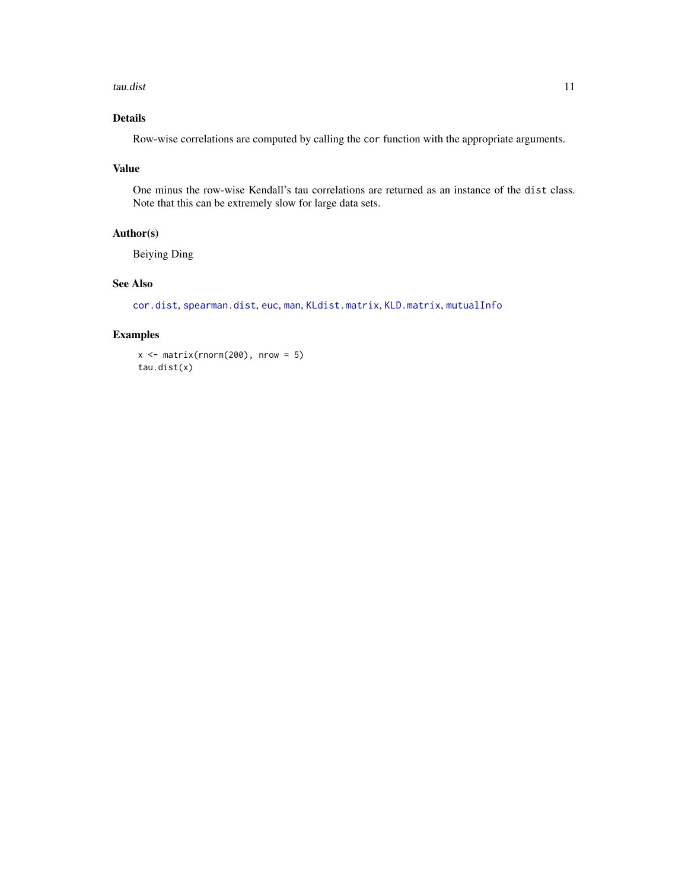<span id="page-10-0"></span>tau.dist 11

## Details

Row-wise correlations are computed by calling the cor function with the appropriate arguments.

#### Value

One minus the row-wise Kendall's tau correlations are returned as an instance of the dist class. Note that this can be extremely slow for large data sets.

#### Author(s)

Beiying Ding

#### See Also

[cor.dist](#page-2-1), [spearman.dist](#page-8-1), [euc](#page-3-1), [man](#page-6-1), [KLdist.matrix](#page-5-1), [KLD.matrix](#page-4-1), [mutualInfo](#page-7-1)

## Examples

 $x \le$  matrix(rnorm(200), nrow = 5) tau.dist(x)